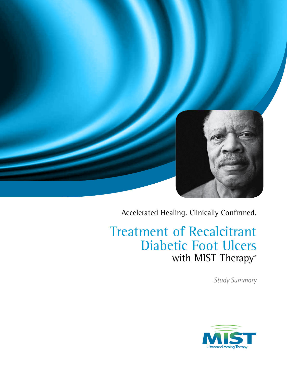

Accelerated Healing. Clinically Confirmed.

# Treatment of Recalcitrant Diabetic Foot Ulcers with MIST Therapy®

*Study Summary*

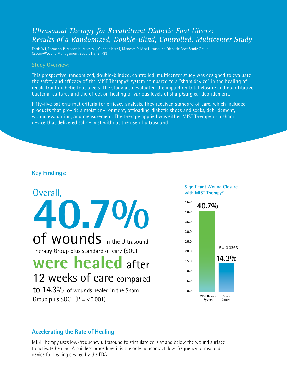## *Ultrasound Therapy for Recalcitrant Diabetic Foot Ulcers: Results of a Randomized, Double-Blind, Controlled, Multicenter Study*

Ennis WJ, Formann P, Mozen N, Massey J, Conner-Kerr T, Meneses P, Mist Ultrasound Diabetic Foot Study Group. Ostomy/Wound Management 2005;51(8):24-39

#### Study Overview:

This prospective, randomized, double-blinded, controlled, multicenter study was designed to evaluate the safety and efficacy of the MIST Therapy® system compared to a "sham device" in the healing of recalcitrant diabetic foot ulcers. The study also evaluated the impact on total closure and quantitative bacterial cultures and the effect on healing of various levels of sharp/surgical debridement.

Fifty-five patients met criteria for efficacy analysis. They received standard of care, which included products that provide a moist environment, offloading diabetic shoes and socks, debridement, wound evaluation, and measurement. The therapy applied was either MIST Therapy or a sham device that delivered saline mist without the use of ultrasound.

### **Key Findings:**

Overall, **40.7%** of wounds in the Ultrasound Therapy Group plus standard of care (SOC) **were healed** after 12 weeks of care compared to 14.3% of wounds healed in the Sham Group plus SOC.  $(P = < 0.001)$ 

#### **Significant Wound Closure with MIST Therapy®**



### **Accelerating the Rate of Healing**

MIST Therapy uses low-frequency ultrasound to stimulate cells at and below the wound surface to activate healing. A painless procedure, it is the only noncontact, low-frequency ultrasound device for healing cleared by the FDA.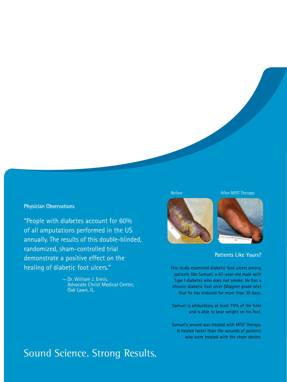#### **Physician Observations**

"People with diabetes account for 60% of all amputations performed in the US annually. The results of this double-blinded, randomized, sham-controlled trial demonstrate a positive effect on the healing of diabetic foot ulcers."

> — Dr. William J. Ennis, Advocate Christ Medical Center, Oak Lawn, IL.

Before **After MIST Therapy** 





### **Patients Like Yours?**

This study examined diabetic foot ulcers among patients like Samuel, a 67-year-old male with Type I diabetes who does not smoke. He has a chronic diabetic foot ulcer (Wagner grade one) that he has endured for more than 30 days.

Samuel is ambulatory at least 75% of the time and is able to bear weight on his foot.

Samuel's wound was treated with MIST Therapy. It healed faster than the wounds of patients who were treated with the sham device.

# Sound Science. Strong Results.